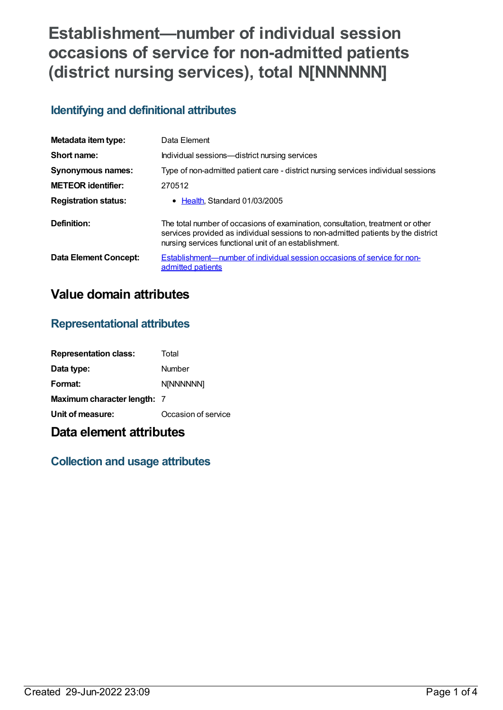# **Establishment—number of individual session occasions of service for non-admitted patients (district nursing services), total N[NNNNNN]**

## **Identifying and definitional attributes**

| Metadata item type:         | Data Element                                                                                                                                                                                                                 |
|-----------------------------|------------------------------------------------------------------------------------------------------------------------------------------------------------------------------------------------------------------------------|
| Short name:                 | Individual sessions-district nursing services                                                                                                                                                                                |
| <b>Synonymous names:</b>    | Type of non-admitted patient care - district nursing services individual sessions                                                                                                                                            |
| <b>METEOR identifier:</b>   | 270512                                                                                                                                                                                                                       |
| <b>Registration status:</b> | • Health, Standard 01/03/2005                                                                                                                                                                                                |
| Definition:                 | The total number of occasions of examination, consultation, treatment or other<br>services provided as individual sessions to non-admitted patients by the district<br>nursing services functional unit of an establishment. |
| Data Element Concept:       | Establishment—number of individual session occasions of service for non-<br>admitted patients                                                                                                                                |

# **Value domain attributes**

#### **Representational attributes**

| <b>Representation class:</b> | Total               |
|------------------------------|---------------------|
| Data type:                   | Number              |
| Format:                      | <b>N[NNNNNN]</b>    |
| Maximum character length: 7  |                     |
| Unit of measure:             | Occasion of service |

# **Data element attributes**

# **Collection and usage attributes**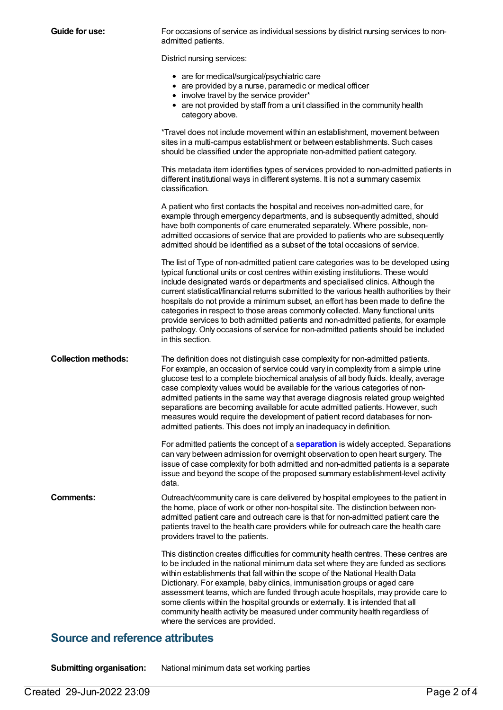| Guide for use:             | For occasions of service as individual sessions by district nursing services to non-<br>admitted patients.                                                                                                                                                                                                                                                                                                                                                                                                                                                                                                                                                                                                                  |
|----------------------------|-----------------------------------------------------------------------------------------------------------------------------------------------------------------------------------------------------------------------------------------------------------------------------------------------------------------------------------------------------------------------------------------------------------------------------------------------------------------------------------------------------------------------------------------------------------------------------------------------------------------------------------------------------------------------------------------------------------------------------|
|                            | District nursing services:                                                                                                                                                                                                                                                                                                                                                                                                                                                                                                                                                                                                                                                                                                  |
|                            | • are for medical/surgical/psychiatric care<br>• are provided by a nurse, paramedic or medical officer<br>• involve travel by the service provider*<br>• are not provided by staff from a unit classified in the community health<br>category above.                                                                                                                                                                                                                                                                                                                                                                                                                                                                        |
|                            | *Travel does not include movement within an establishment, movement between<br>sites in a multi-campus establishment or between establishments. Such cases<br>should be classified under the appropriate non-admitted patient category.                                                                                                                                                                                                                                                                                                                                                                                                                                                                                     |
|                            | This metadata item identifies types of services provided to non-admitted patients in<br>different institutional ways in different systems. It is not a summary casemix<br>classification.                                                                                                                                                                                                                                                                                                                                                                                                                                                                                                                                   |
|                            | A patient who first contacts the hospital and receives non-admitted care, for<br>example through emergency departments, and is subsequently admitted, should<br>have both components of care enumerated separately. Where possible, non-<br>admitted occasions of service that are provided to patients who are subsequently<br>admitted should be identified as a subset of the total occasions of service.                                                                                                                                                                                                                                                                                                                |
|                            | The list of Type of non-admitted patient care categories was to be developed using<br>typical functional units or cost centres within existing institutions. These would<br>include designated wards or departments and specialised clinics. Although the<br>current statistical/financial returns submitted to the various health authorities by their<br>hospitals do not provide a minimum subset, an effort has been made to define the<br>categories in respect to those areas commonly collected. Many functional units<br>provide services to both admitted patients and non-admitted patients, for example<br>pathology. Only occasions of service for non-admitted patients should be included<br>in this section. |
| <b>Collection methods:</b> | The definition does not distinguish case complexity for non-admitted patients.<br>For example, an occasion of service could vary in complexity from a simple urine<br>glucose test to a complete biochemical analysis of all body fluids. Ideally, average<br>case complexity values would be available for the various categories of non-<br>admitted patients in the same way that average diagnosis related group weighted<br>separations are becoming available for acute admitted patients. However, such<br>measures would require the development of patient record databases for non-<br>admitted patients. This does not imply an inadequacy in definition.                                                        |
|                            | For admitted patients the concept of a <b>separation</b> is widely accepted. Separations<br>can vary between admission for overnight observation to open heart surgery. The<br>issue of case complexity for both admitted and non-admitted patients is a separate<br>issue and beyond the scope of the proposed summary establishment-level activity<br>data.                                                                                                                                                                                                                                                                                                                                                               |
| <b>Comments:</b>           | Outreach/community care is care delivered by hospital employees to the patient in<br>the home, place of work or other non-hospital site. The distinction between non-<br>admitted patient care and outreach care is that for non-admitted patient care the<br>patients travel to the health care providers while for outreach care the health care<br>providers travel to the patients.                                                                                                                                                                                                                                                                                                                                     |
|                            | This distinction creates difficulties for community health centres. These centres are<br>to be included in the national minimum data set where they are funded as sections<br>within establishments that fall within the scope of the National Health Data<br>Dictionary. For example, baby clinics, immunisation groups or aged care<br>assessment teams, which are funded through acute hospitals, may provide care to<br>some clients within the hospital grounds or externally. It is intended that all<br>community health activity be measured under community health regardless of<br>where the services are provided.                                                                                               |
|                            |                                                                                                                                                                                                                                                                                                                                                                                                                                                                                                                                                                                                                                                                                                                             |

#### **Source and reference attributes**

**Submitting organisation:** National minimum data set working parties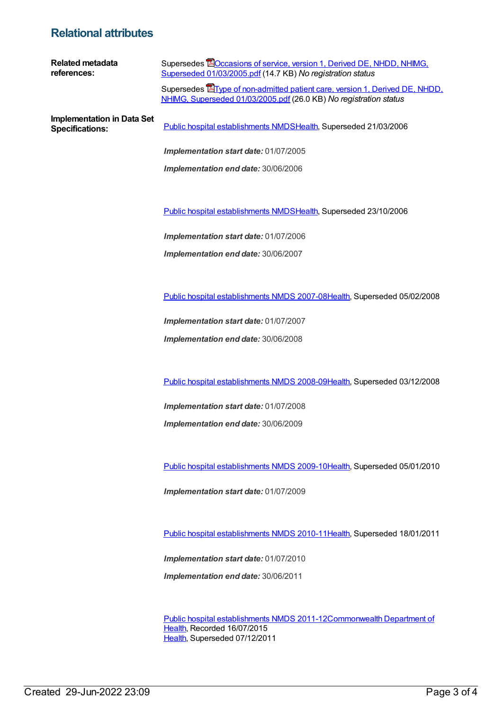### **Relational attributes**

| <b>Related metadata</b><br>references:                      | Supersedes <b>EO</b> ccasions of service, version 1, Derived DE, NHDD, NHIMG,<br>Superseded 01/03/2005.pdf (14.7 KB) No registration status              |
|-------------------------------------------------------------|----------------------------------------------------------------------------------------------------------------------------------------------------------|
|                                                             | Supersedes <b>E</b> Type of non-admitted patient care, version 1, Derived DE, NHDD,<br>NHIMG, Superseded 01/03/2005.pdf (26.0 KB) No registration status |
| <b>Implementation in Data Set</b><br><b>Specifications:</b> | Public hospital establishments NMDSHealth, Superseded 21/03/2006                                                                                         |
|                                                             | Implementation start date: 01/07/2005                                                                                                                    |
|                                                             | Implementation end date: 30/06/2006                                                                                                                      |
|                                                             |                                                                                                                                                          |
|                                                             | Public hospital establishments NMDSHealth, Superseded 23/10/2006                                                                                         |
|                                                             | Implementation start date: 01/07/2006                                                                                                                    |
|                                                             | Implementation end date: 30/06/2007                                                                                                                      |
|                                                             |                                                                                                                                                          |
|                                                             | Public hospital establishments NMDS 2007-08Health, Superseded 05/02/2008                                                                                 |
|                                                             | Implementation start date: 01/07/2007                                                                                                                    |
|                                                             | Implementation end date: 30/06/2008                                                                                                                      |
|                                                             |                                                                                                                                                          |
|                                                             | Public hospital establishments NMDS 2008-09Health, Superseded 03/12/2008                                                                                 |
|                                                             | Implementation start date: 01/07/2008                                                                                                                    |
|                                                             | Implementation end date: 30/06/2009                                                                                                                      |
|                                                             |                                                                                                                                                          |
|                                                             | Public hospital establishments NMDS 2009-10Health, Superseded 05/01/2010                                                                                 |
|                                                             | Implementation start date: 01/07/2009                                                                                                                    |
|                                                             |                                                                                                                                                          |
|                                                             | Public hospital establishments NMDS 2010-11Health, Superseded 18/01/2011                                                                                 |

*Implementation start date:* 01/07/2010 *Implementation end date:* 30/06/2011

Public hospital [establishments](https://meteor.aihw.gov.au/content/426900) NMDS [2011-12Commonwealth](https://meteor.aihw.gov.au/RegistrationAuthority/10) Department of Health, Recorded 16/07/2015 [Health](https://meteor.aihw.gov.au/RegistrationAuthority/12), Superseded 07/12/2011